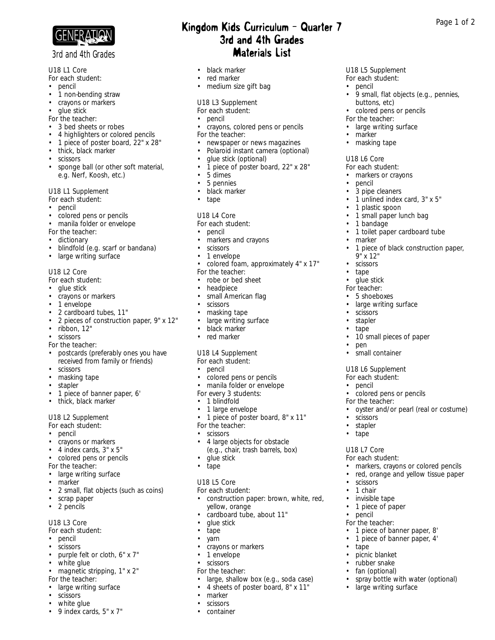

## **3rd and 4th Grades**

U18 L1 Core

- *For each student:*
- pencil
- 1 non-bending straw
- crayons or markers
- glue stick
- *For the teacher:*
- 3 bed sheets or robes
- 4 highlighters or colored pencils
- 1 piece of poster board, 22" x 28"
- thick, black marker
- scissors
- sponge ball (or other soft material, e.g. Nerf, Koosh, etc.)

#### U18 L1 Supplement

- *For each student:*
- pencil
- colored pens or pencils
- manila folder or envelope

*For the teacher:*

- dictionary
- blindfold (e.g. scarf or bandana)
- large writing surface

#### U18 L2 Core

- *For each student:*
- glue stick
- crayons or markers
- 1 envelope
- 2 cardboard tubes, 11"
- 2 pieces of construction paper, 9" x 12"
- ribbon, 12"
- scissors
- *For the teacher:*
- postcards (preferably ones you have received from family or friends)
- scissors
- masking tape
- stapler
- 1 piece of banner paper, 6'
- thick, black marker

#### U18 L2 Supplement

- *For each student:*
- pencil
- crayons or markers
- 4 index cards, 3" x 5"
- colored pens or pencils
- *For the teacher:*
- large writing surface
- marker
- 2 small, flat objects (such as coins)
- scrap paper
- 2 pencils

## U18 L3 Core

- *For each student:*
- pencil
- scissors purple felt or cloth, 6" x 7"
- white glue
- magnetic stripping, 1" x 2"
- *For the teacher:*
- large writing surface
- scissors
- white glue
- 9 index cards, 5" x 7"

# 3rd and 4th Grades

- black marker
- red marker
- medium size gift bag

#### U18 L3 Supplement

- *For each student:*
- pencil
- crayons, colored pens or pencils
- *For the teacher:*
- newspaper or news magazines
- Polaroid instant camera (optional)

U18 L5 Supplement *For each student:* • pencil

buttons, etc) • colored pens or pencils

*For the teacher:* • large writing surface

• marker • masking tape

Kingdom Kids Curriculum - Quarter 7 Mage 1 of 2

U18 L6 Core *For each student:* • markers or crayons

pencil • 3 pipe cleaners

• 1 plastic spoon • 1 small paper lunch bag

• 1 bandage

9" x 12" **scissors** • tape glue stick *For teacher:* • 5 shoeboxes • large writing surface

• marker

• scissors • stapler • tape

• pen

• 9 small, flat objects (e.g., pennies,

• 1 unlined index card, 3" x 5"

• 1 toilet paper cardboard tube

• 10 small pieces of paper

• colored pens or pencils

• oyster and/or pearl (real or costume)

• markers, crayons or colored pencils • red, orange and yellow tissue paper

• 1 piece of banner paper, 8' • 1 piece of banner paper, 4'

• spray bottle with water (optional)<br>• large writing surface

large writing surface

• small container U18 L6 Supplement *For each student:* • pencil

*For the teacher:*

• scissors • stapler • tape

U18 L7 Core *For each student:*

• scissors • 1 chair • invisible tape • 1 piece of paper

• pencil *For the teacher:*

• tape

• picnic blanket rubber snake • fan (optional)

• 1 piece of black construction paper,

- glue stick (optional)
- 1 piece of poster board, 22" x 28"<br>• 5 dimes
- 5 dimes
- 5 pennies
- black marker
- tape

#### U18 L4 Core

#### *For each student:*

- pencil
- markers and crayons
- scissors
- 1 envelope
- colored foam, approximately 4" x 17"
- *For the teacher:*
- robe or bed sheet
- headpiece
- small American flag
- scissors
- masking tape
- large writing surface<br>• black marker
- black marker
- red marker

#### U18 L4 Supplement

- *For each student:*
- pencil
- colored pens or pencils • manila folder or envelope

• 1 piece of poster board, 8" x 11"

• construction paper: brown, white, red,

• large, shallow box (e.g., soda case) • 4 sheets of poster board, 8" x 11"

• 4 large objects for obstacle (e.g., chair, trash barrels, box)

cardboard tube, about 11"

*For every 3 students:* • 1 blindfold • 1 large envelope

*For the teacher:* • scissors

• glue stick • tape

U18 L5 Core *For each student:*

yellow, orange

• crayons or markers • 1 envelope • scissors *For the teacher:*

• glue stick • tape • yarn

• marker • scissors • container